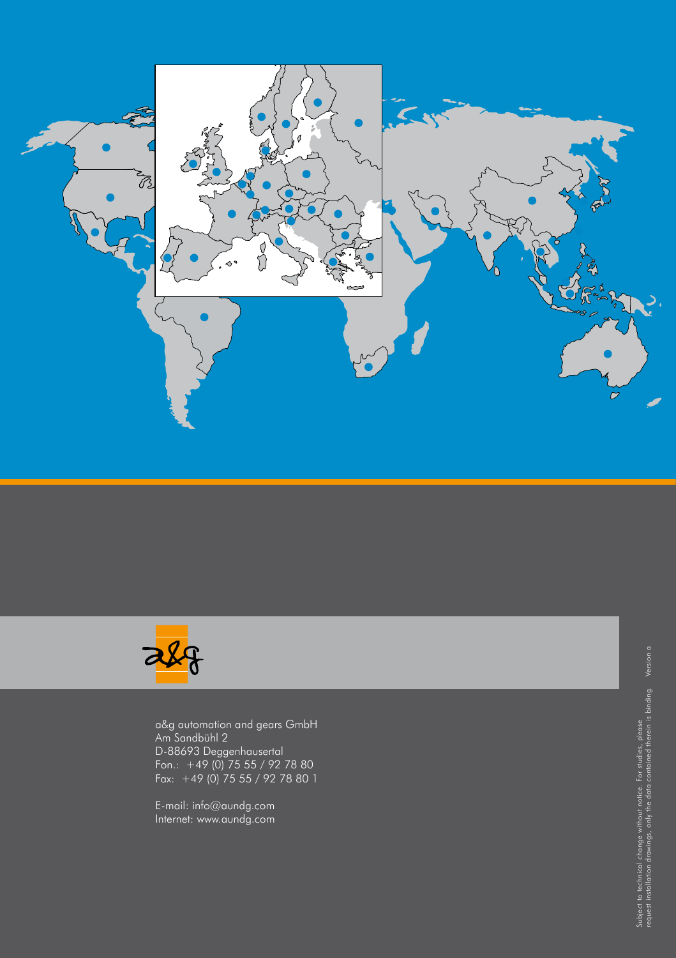



a&g automation and gears GmbH Am Sandbühl 2 D-88693 Deggenhausertal Fon.: +49 (0) 75 55 / 92 78 80 Fax: +49 (0) 75 55 / 92 78 80 1

E-mail: info@aundg.com Internet: www.aundg.com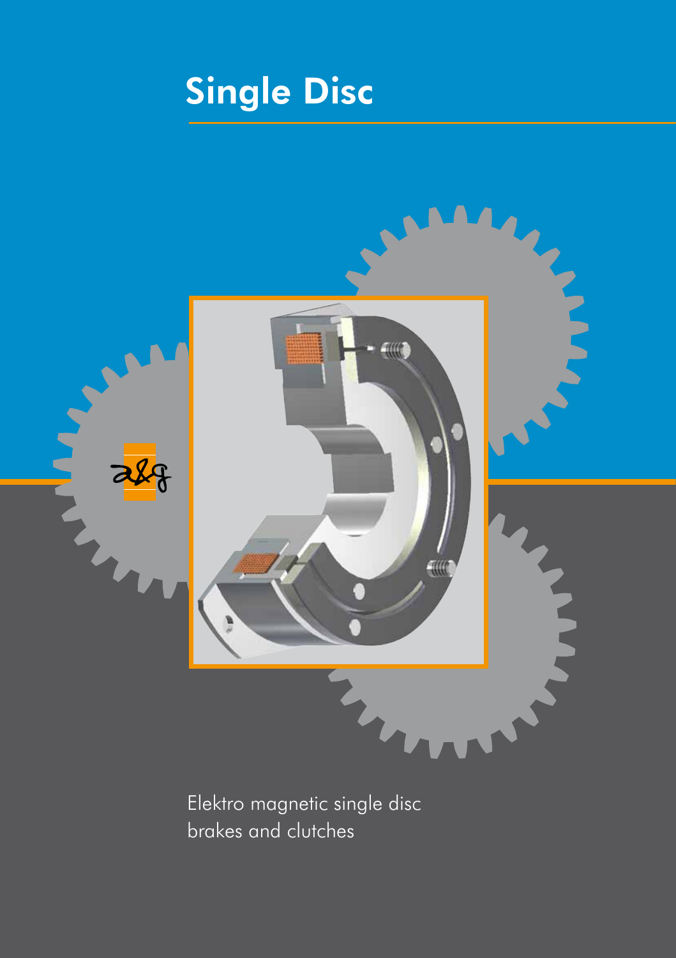# Single Disc



Elektro magnetic single disc brakes and clutches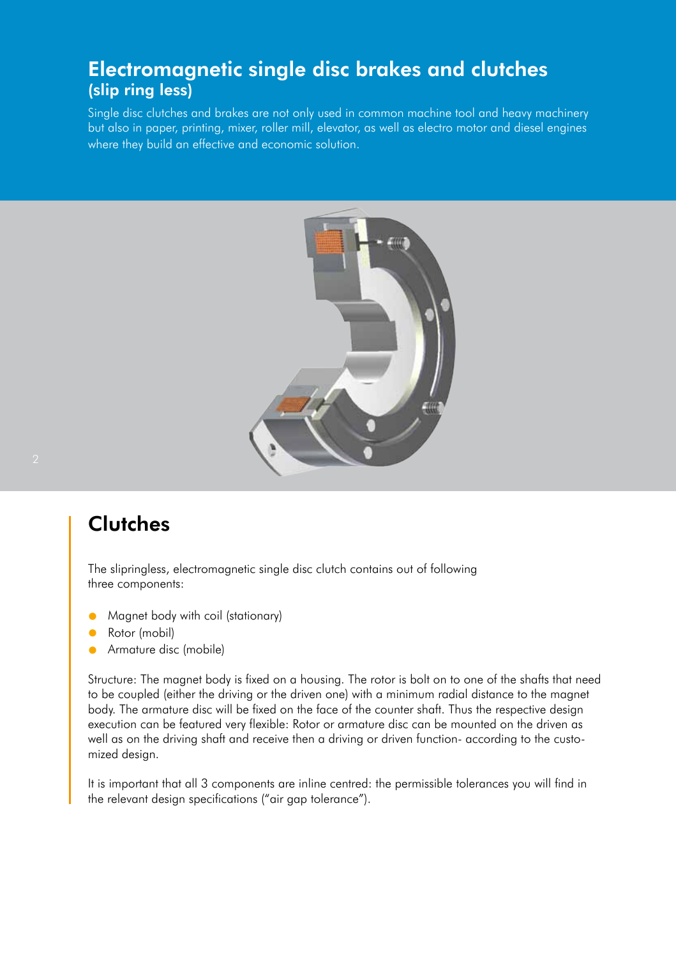### Electromagnetic single disc brakes and clutches (slip ring less)

Single disc clutches and brakes are not only used in common machine tool and heavy machinery but also in paper, printing, mixer, roller mill, elevator, as well as electro motor and diesel engines where they build an effective and economic solution.



### **Clutches**

The slipringless, electromagnetic single disc clutch contains out of following three components:

- l Magnet body with coil (stationary)
- Rotor (mobil)
- Armature disc (mobile)

Structure: The magnet body is fixed on a housing. The rotor is bolt on to one of the shafts that need to be coupled (either the driving or the driven one) with a minimum radial distance to the magnet body. The armature disc will be fixed on the face of the counter shaft. Thus the respective design execution can be featured very flexible: Rotor or armature disc can be mounted on the driven as well as on the driving shaft and receive then a driving or driven function- according to the customized design.

It is important that all 3 components are inline centred: the permissible tolerances you will find in the relevant design specifications ("air gap tolerance").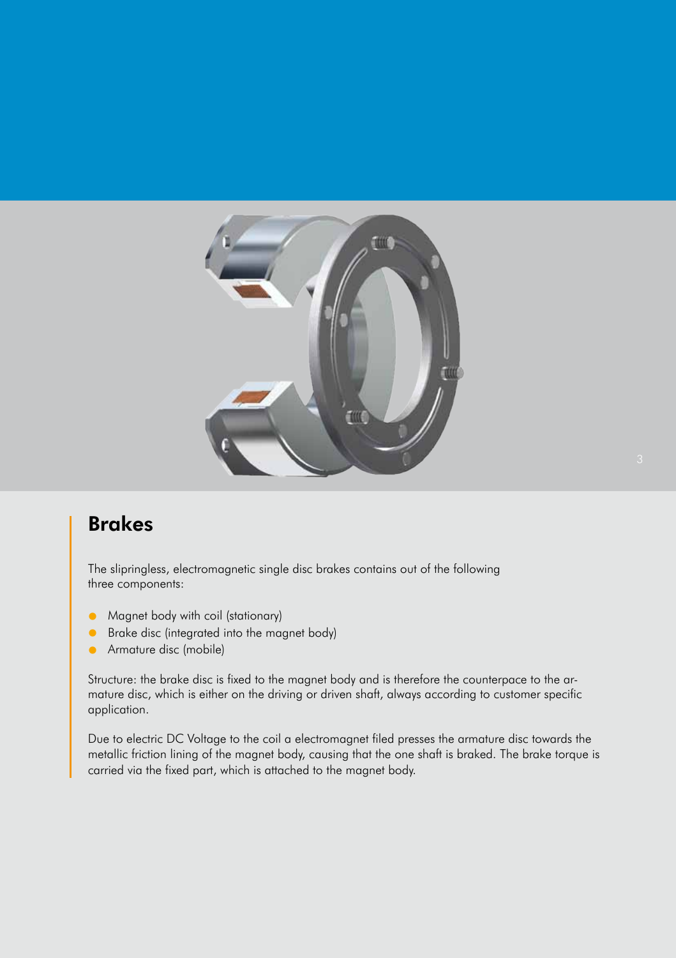

### Brakes

The slipringless, electromagnetic single disc brakes contains out of the following three components:

- l Magnet body with coil (stationary)
- **Brake disc (integrated into the magnet body)**
- **Armature disc (mobile)**

Structure: the brake disc is fixed to the magnet body and is therefore the counterpace to the armature disc, which is either on the driving or driven shaft, always according to customer specific application.

Due to electric DC Voltage to the coil a electromagnet filed presses the armature disc towards the metallic friction lining of the magnet body, causing that the one shaft is braked. The brake torque is carried via the fixed part, which is attached to the magnet body.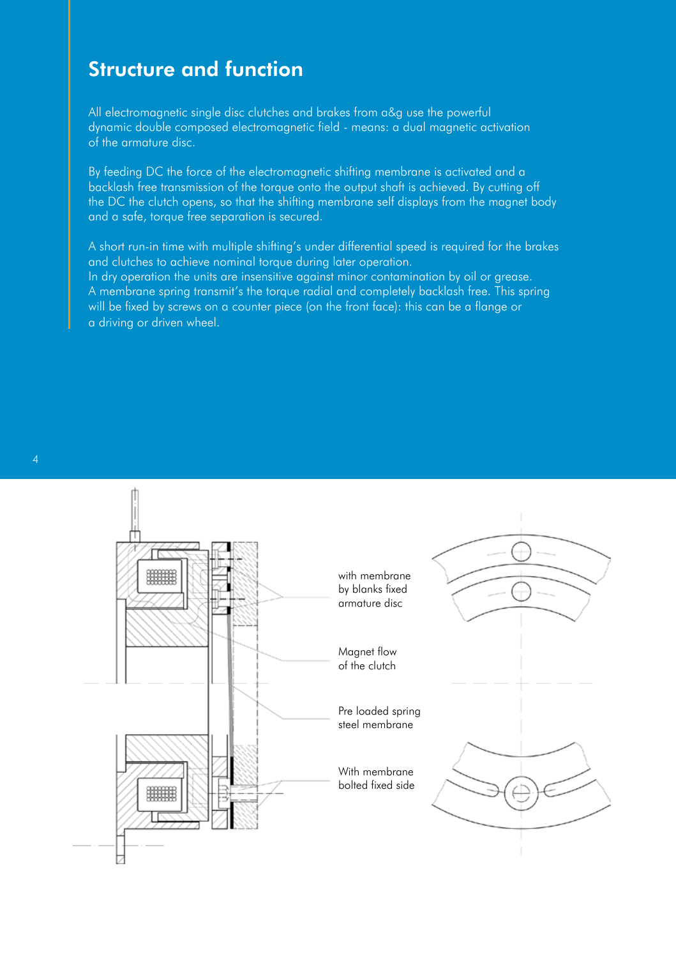### Structure and function

All electromagnetic single disc clutches and brakes from a&g use the powerful dynamic double composed electromagnetic field - means: a dual magnetic activation of the armature disc.

By feeding DC the force of the electromagnetic shifting membrane is activated and a backlash free transmission of the torque onto the output shaft is achieved. By cutting off the DC the clutch opens, so that the shifting membrane self displays from the magnet body and a safe, torque free separation is secured.

A short run-in time with multiple shifting's under differential speed is required for the brakes and clutches to achieve nominal torque during later operation. In dry operation the units are insensitive against minor contamination by oil or grease. A membrane spring transmit's the torque radial and completely backlash free. This spring will be fixed by screws on a counter piece (on the front face): this can be a flange or a driving or driven wheel.



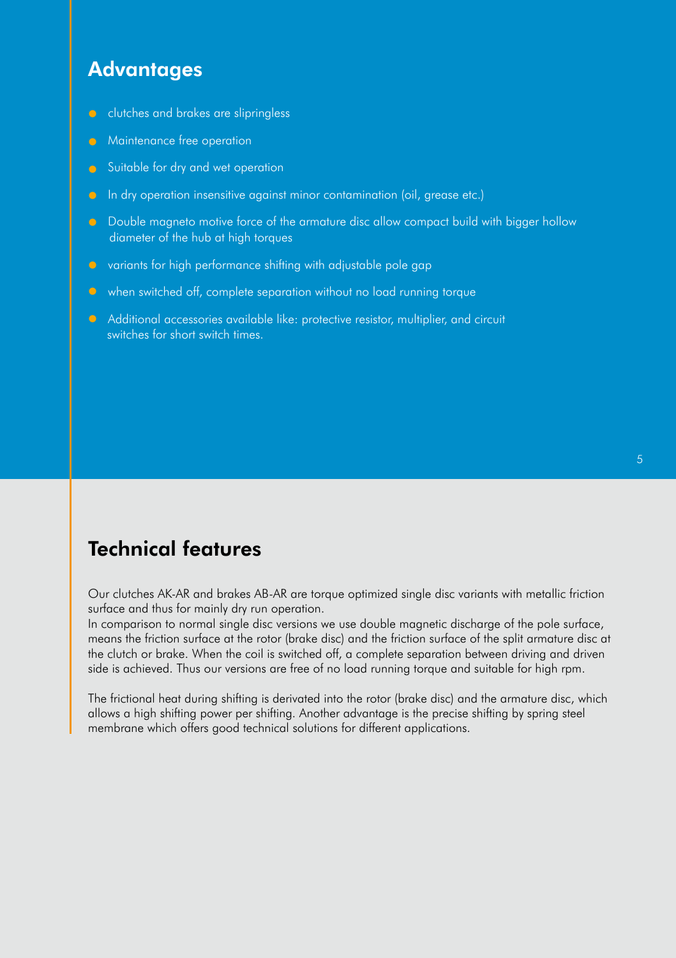### **Advantages**

- **a** clutches and brakes are slipringless
- **C** Maintenance free operation
- Suitable for dry and wet operation
- **a** In dry operation insensitive against minor contamination (oil, grease etc.)
- **C** Double magneto motive force of the armature disc allow compact build with bigger hollow diameter of the hub at high torques
- $\bullet$  variants for high performance shifting with adjustable pole gap
- **•** when switched off, complete separation without no load running torque
- **C** Additional accessories available like: protective resistor, multiplier, and circuit switches for short switch times.

### Technical features

Our clutches AK-AR and brakes AB-AR are torque optimized single disc variants with metallic friction surface and thus for mainly dry run operation.

In comparison to normal single disc versions we use double magnetic discharge of the pole surface, means the friction surface at the rotor (brake disc) and the friction surface of the split armature disc at the clutch or brake. When the coil is switched off, a complete separation between driving and driven side is achieved. Thus our versions are free of no load running torque and suitable for high rpm.

The frictional heat during shifting is derivated into the rotor (brake disc) and the armature disc, which allows a high shifting power per shifting. Another advantage is the precise shifting by spring steel membrane which offers good technical solutions for different applications.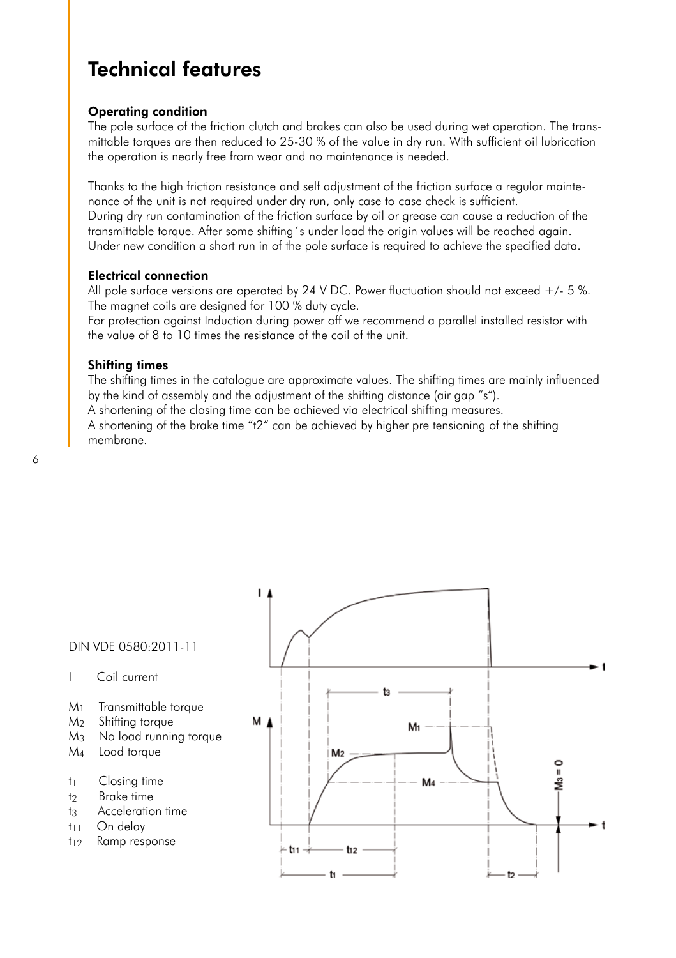### Technical features

#### Operating condition

The pole surface of the friction clutch and brakes can also be used during wet operation. The transmittable torques are then reduced to 25-30 % of the value in dry run. With sufficient oil lubrication the operation is nearly free from wear and no maintenance is needed.

Thanks to the high friction resistance and self adjustment of the friction surface a regular maintenance of the unit is not required under dry run, only case to case check is sufficient. During dry run contamination of the friction surface by oil or grease can cause a reduction of the transmittable torque. After some shifting´s under load the origin values will be reached again. Under new condition a short run in of the pole surface is required to achieve the specified data.

#### Electrical connection

All pole surface versions are operated by 24 V DC. Power fluctuation should not exceed  $+/$ - 5 %. The magnet coils are designed for 100 % duty cycle.

For protection against Induction during power off we recommend a parallel installed resistor with the value of 8 to 10 times the resistance of the coil of the unit.

#### Shifting times

The shifting times in the catalogue are approximate values. The shifting times are mainly influenced by the kind of assembly and the adjustment of the shifting distance (air gap "s").

A shortening of the closing time can be achieved via electrical shifting measures.

A shortening of the brake time "t2" can be achieved by higher pre tensioning of the shifting membrane.



- I Coil current
- M1 Transmittable torque
- M2 Shifting torque
- M3 No load running torque
- M4 Load torque
- t<sub>1</sub> Closing time
- t<sub>2</sub> Brake time
- t<sub>3</sub> Acceleration time
- t<sub>11</sub> On delay
- t<sub>12</sub> Ramp response

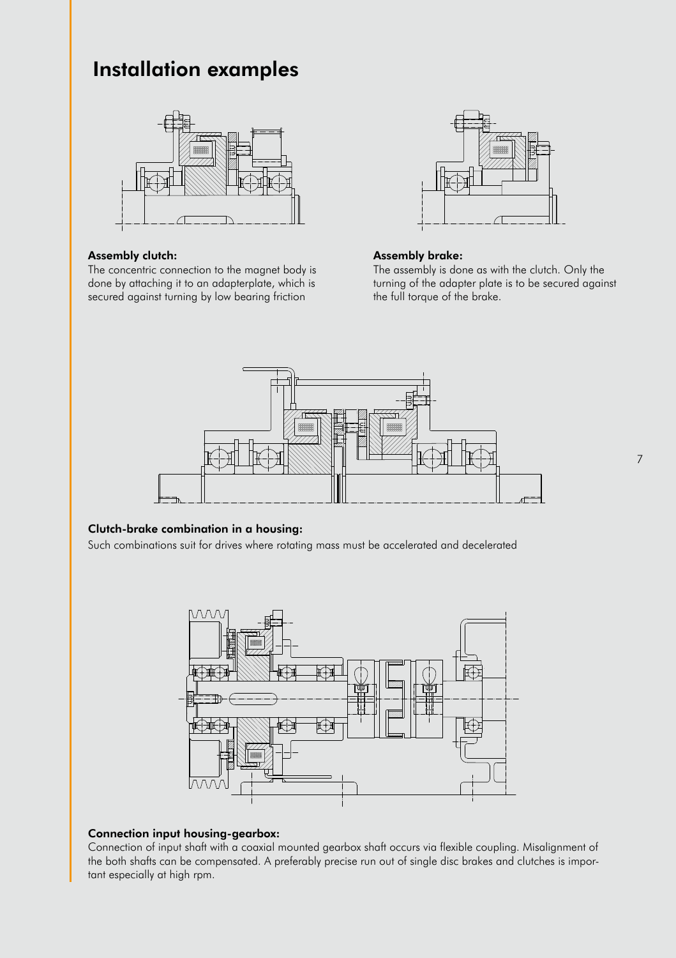### Installation examples



#### Assembly clutch:

The concentric connection to the magnet body is done by attaching it to an adapterplate, which is secured against turning by low bearing friction



#### Assembly brake:

The assembly is done as with the clutch. Only the turning of the adapter plate is to be secured against the full torque of the brake.



#### Clutch-brake combination in a housing:

Such combinations suit for drives where rotating mass must be accelerated and decelerated



#### Connection input housing-gearbox:

Connection of input shaft with a coaxial mounted gearbox shaft occurs via flexible coupling. Misalignment of the both shafts can be compensated. A preferably precise run out of single disc brakes and clutches is important especially at high rpm.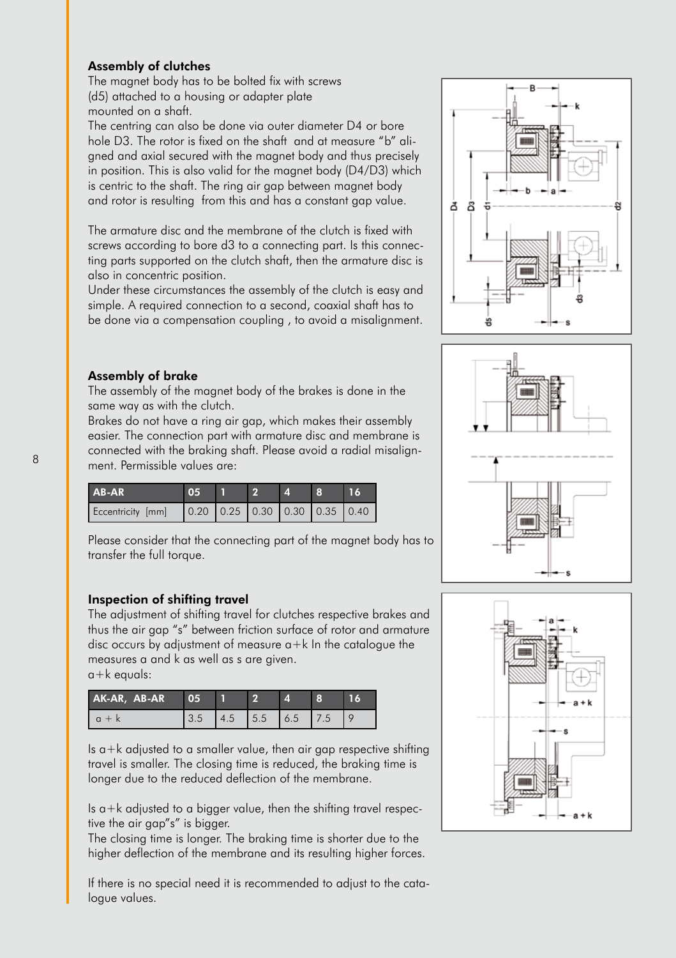#### Assembly of clutches

The magnet body has to be bolted fix with screws (d5) attached to a housing or adapter plate mounted on a shaft.

The centring can also be done via outer diameter D4 or bore hole D3. The rotor is fixed on the shaft and at measure "b" aligned and axial secured with the magnet body and thus precisely in position. This is also valid for the magnet body (D4/D3) which is centric to the shaft. The ring air gap between magnet body and rotor is resulting from this and has a constant gap value.

The armature disc and the membrane of the clutch is fixed with screws according to bore d3 to a connecting part. Is this connecting parts supported on the clutch shaft, then the armature disc is also in concentric position.

Under these circumstances the assembly of the clutch is easy and simple. A required connection to a second, coaxial shaft has to be done via a compensation coupling , to avoid a misalignment.

#### Assembly of brake

The assembly of the magnet body of the brakes is done in the same way as with the clutch.

Brakes do not have a ring air gap, which makes their assembly easier. The connection part with armature disc and membrane is connected with the braking shaft. Please avoid a radial misalignment. Permissible values are:

| <b>AB-AR</b>      | 05. |  | -8                                                                  | 16 |
|-------------------|-----|--|---------------------------------------------------------------------|----|
| Eccentricity [mm] |     |  | $\vert 0.20 \vert 0.25 \vert 0.30 \vert 0.30 \vert 0.35 \vert 0.40$ |    |

Please consider that the connecting part of the magnet body has to transfer the full torque.

#### Inspection of shifting travel

The adjustment of shifting travel for clutches respective brakes and thus the air gap "s" between friction surface of rotor and armature disc occurs by adjustment of measure  $a+k$  In the catalogue the measures a and k as well as s are given.

|  | $a+k$ equals: |  |
|--|---------------|--|
|--|---------------|--|

| AK-AR, AB-AR | 05  |     |                   |      |       |  |
|--------------|-----|-----|-------------------|------|-------|--|
|              | ◡.◡ | 4.5 | $\vert 5.5 \vert$ | 16.5 | - 7.5 |  |

Is  $a+k$  adjusted to a smaller value, then air gap respective shifting travel is smaller. The closing time is reduced, the braking time is longer due to the reduced deflection of the membrane.

Is  $a+k$  adjusted to a bigger value, then the shifting travel respective the air gap"s" is bigger.

The closing time is longer. The braking time is shorter due to the higher deflection of the membrane and its resulting higher forces.

If there is no special need it is recommended to adjust to the catalogue values.





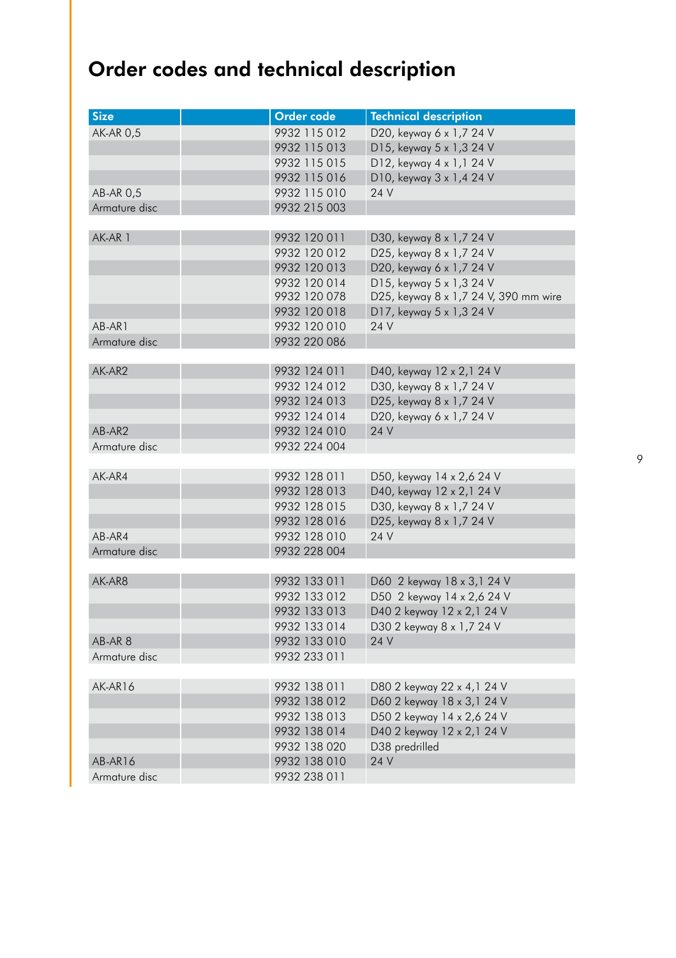## Order codes and technical description

| <b>Size</b>      | Order code   | <b>Technical description</b>          |
|------------------|--------------|---------------------------------------|
| <b>AK-AR 0,5</b> | 9932 115 012 | D20, keyway 6 x 1,7 24 V              |
|                  | 9932 115 013 | D15, keyway 5 x 1,3 24 V              |
|                  | 9932 115 015 | D12, keyway 4 x 1,1 24 V              |
|                  | 9932 115 016 | D10, keyway 3 x 1,4 24 V              |
| AB-AR 0,5        | 9932 115 010 | 24 V                                  |
| Armature disc    | 9932 215 003 |                                       |
|                  |              |                                       |
| AK-AR 1          | 9932 120 011 | D30, keyway 8 x 1,7 24 V              |
|                  | 9932 120 012 | D25, keyway 8 x 1,7 24 V              |
|                  | 9932 120 013 | D20, keyway 6 x 1,7 24 V              |
|                  | 9932 120 014 | D15, keyway 5 x 1,3 24 V              |
|                  | 9932 120 078 | D25, keyway 8 x 1,7 24 V, 390 mm wire |
|                  | 9932 120 018 | D17, keyway 5 x 1,3 24 V              |
| AB-AR1           | 9932 120 010 | 24 V                                  |
| Armature disc    | 9932 220 086 |                                       |
|                  |              |                                       |
| AK-AR2           | 9932 124 011 | D40, keyway 12 x 2,1 24 V             |
|                  | 9932 124 012 | D30, keyway 8 x 1,7 24 V              |
|                  | 9932 124 013 | D25, keyway 8 x 1,7 24 V              |
|                  | 9932 124 014 | D20, keyway 6 x 1,7 24 V              |
| AB-AR2           | 9932 124 010 | 24 V                                  |
| Armature disc    | 9932 224 004 |                                       |
|                  |              |                                       |
| AK-AR4           | 9932 128 011 | D50, keyway 14 x 2,6 24 V             |
|                  | 9932 128 013 | D40, keyway 12 x 2,1 24 V             |
|                  | 9932 128 015 | D30, keyway 8 x 1,7 24 V              |
|                  | 9932 128 016 | D25, keyway 8 x 1,7 24 V              |
| AB-AR4           | 9932 128 010 | 24 V                                  |
| Armature disc    | 9932 228 004 |                                       |
|                  |              |                                       |
| AK-AR8           | 9932 133 011 | D60 2 keyway 18 x 3,1 24 V            |
|                  | 9932 133 012 | D50 2 keyway 14 x 2,6 24 V            |
|                  | 9932 133 013 | D40 2 keyway 12 x 2,1 24 V            |
|                  | 9932 133 014 | D30 2 keyway 8 x 1,7 24 V             |
| AB-AR 8          | 9932 133 010 | 24 V                                  |
| Armature disc    | 9932 233 011 |                                       |
|                  |              |                                       |
| AK-AR16          | 9932 138 011 | D80 2 keyway 22 x 4,1 24 V            |
|                  | 9932 138 012 | D60 2 keyway 18 x 3,1 24 V            |
|                  | 9932 138 013 | D50 2 keyway 14 x 2,6 24 V            |
|                  | 9932 138 014 | D40 2 keyway 12 x 2,1 24 V            |
|                  | 9932 138 020 | D38 predrilled                        |
| AB-AR16          | 9932 138 010 | 24 V                                  |
| Armature disc    | 9932 238 011 |                                       |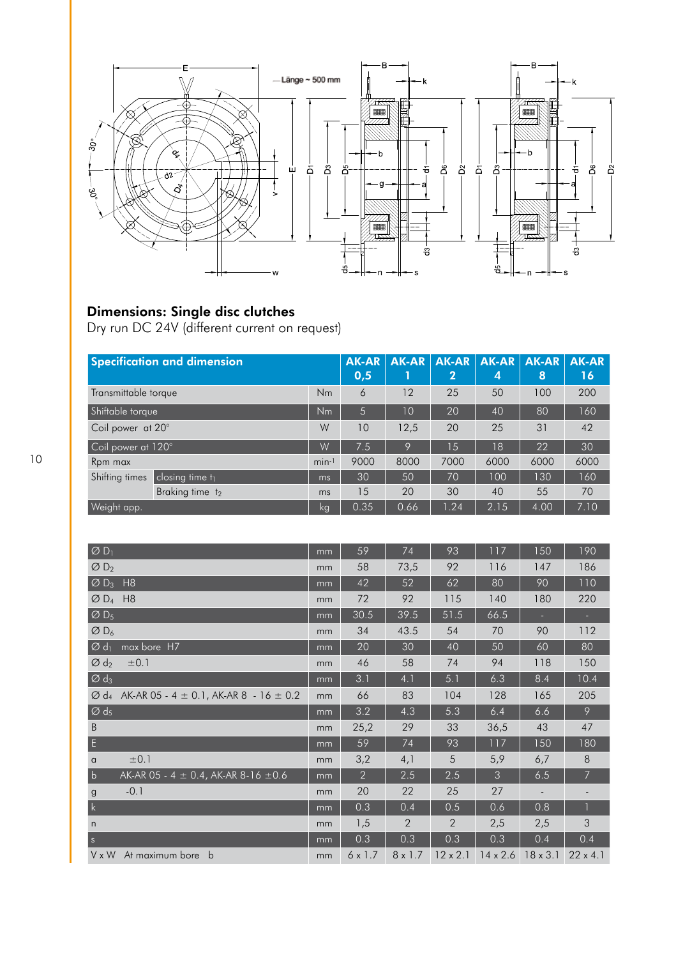

#### Dimensions: Single disc clutches

Dry run DC 24V (different current on request)

| <b>Specification and dimension</b>       |         | <b>AK-AR</b><br>0,5 | <b>AK-AR</b> | <b>AK-AR</b><br>$\mathbf{2}$ | <b>AK-AR</b><br>Ι4, | <b>AK-AR</b><br>8 | <b>AK-AR</b><br>16 |
|------------------------------------------|---------|---------------------|--------------|------------------------------|---------------------|-------------------|--------------------|
| Transmittable torque                     | Nm      | 6                   | 12           | 25                           | 50                  | 100               | 200                |
| Shiftable torque                         | Nm      | 5                   | 10           | 20                           | 40                  | 80                | 160                |
| Coil power at 20°                        | W       | 10                  | 12,5         | 20                           | 25                  | 31                | 42                 |
| Coil power at 120°                       | W       | 7.5                 | 9            | $\overline{15}$              | 18                  | 22                | 30                 |
| Rpm max                                  | $min-1$ | 9000                | 8000         | 7000                         | 6000                | 6000              | 6000               |
| Shifting times<br>$ $ closing time $t_1$ | ms      | 30                  | 50           | 70                           | 100                 | 130               | 160                |
| Braking time t2                          | ms      | 15                  | 20           | 30                           | 40                  | 55                | 70                 |
| Weight app.                              | kg      | 0.35                | 0.66         | 1.24                         | 2.15                | 4.00              | 7.10               |

| $\overline{\varnothing}$ D <sub>1</sub>                                        | mm | 59             | 74             | 93              | 117             | 150             | 190             |
|--------------------------------------------------------------------------------|----|----------------|----------------|-----------------|-----------------|-----------------|-----------------|
| $\emptyset$ D <sub>2</sub>                                                     | mm | 58             | 73,5           | 92              | 116             | 147             | 186             |
| $\varnothing$ D <sub>3</sub><br>H8                                             | mm | 42             | 52             | 62              | 80              | 90              | 110             |
| $\varnothing$ D <sub>4</sub><br>H8                                             | mm | 72             | 92             | 115             | 140             | 180             | 220             |
| $\varnothing$ D <sub>5</sub>                                                   | mm | 30.5           | 39.5           | 51.5            | 66.5            |                 |                 |
| $\varnothing$ D <sub>6</sub>                                                   | mm | 34             | 43.5           | 54              | 70              | 90              | 112             |
| $\varnothing$ d <sub>1</sub><br>max bore H7                                    | mm | 20             | 30             | 40              | 50              | 60              | 80              |
| $\varnothing$ d <sub>2</sub><br>±0.1                                           | mm | 46             | 58             | 74              | 94              | 118             | 150             |
| $\overline{\varnothing d_3}$                                                   | mm | 3.1            | 4.1            | 5.1             | 6.3             | 8.4             | 10.4            |
| AK-AR 05 - 4 $\pm$ 0.1, AK-AR 8 - 16 $\pm$ 0.2<br>$\varnothing$ d <sub>4</sub> | mm | 66             | 83             | 104             | 128             | 165             | 205             |
| $\varnothing$ d <sub>5</sub>                                                   | mm | 3.2            | 4.3            | 5.3             | 6.4             | 6.6             | 9               |
| B                                                                              | mm | 25,2           | 29             | 33              | 36,5            | 43              | 47              |
| E                                                                              | mm | 59             | 74             | 93              | 117             | 150             | 180             |
| ±0.1<br>$\alpha$                                                               | mm | 3,2            | 4,1            | 5               | 5,9             | 6,7             | 8               |
| b <br>AK-AR 05 - 4 $\pm$ 0.4, AK-AR 8-16 $\pm$ 0.6                             | mm | $\overline{2}$ | 2.5            | 2.5             | 3               | 6.5             | $\overline{7}$  |
| $-0.1$<br>$\mathbf{g}$                                                         | mm | 20             | 22             | 25              | 27              |                 |                 |
| $\mathsf{k}$                                                                   | mm | 0.3            | 0.4            | 0.5             | 0.6             | 0.8             |                 |
| n                                                                              | mm | 1,5            | 2              | $\overline{2}$  | 2,5             | 2,5             | $\mathsf 3$     |
| $\vert s \vert$                                                                | mm | 0.3            | 0.3            | 0.3             | 0.3             | 0.4             | 0.4             |
| V x W<br>At maximum bore<br>b                                                  | mm | $6 \times 1.7$ | $8 \times 1.7$ | $12 \times 2.1$ | $14 \times 2.6$ | $18 \times 3.1$ | $22 \times 4.1$ |